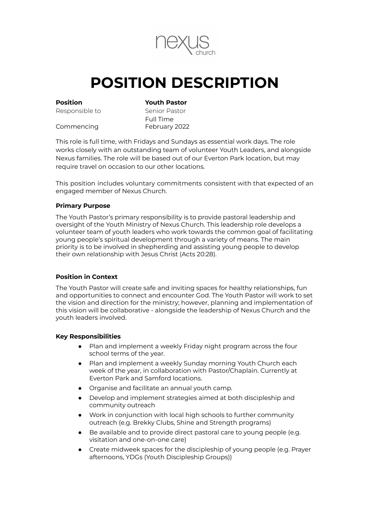

# **POSITION DESCRIPTION**

**Position Youth Pastor**

Responsible to Senior Pastor

Full Time Commencing February 2022

This role is full time, with Fridays and Sundays as essential work days. The role works closely with an outstanding team of volunteer Youth Leaders, and alongside Nexus families. The role will be based out of our Everton Park location, but may require travel on occasion to our other locations.

This position includes voluntary commitments consistent with that expected of an engaged member of Nexus Church.

### **Primary Purpose**

The Youth Pastor's primary responsibility is to provide pastoral leadership and oversight of the Youth Ministry of Nexus Church. This leadership role develops a volunteer team of youth leaders who work towards the common goal of facilitating young people's spiritual development through a variety of means. The main priority is to be involved in shepherding and assisting young people to develop their own relationship with Jesus Christ (Acts 20:28).

# **Position in Context**

The Youth Pastor will create safe and inviting spaces for healthy relationships, fun and opportunities to connect and encounter God. The Youth Pastor will work to set the vision and direction for the ministry; however, planning and implementation of this vision will be collaborative - alongside the leadership of Nexus Church and the youth leaders involved.

#### **Key Responsibilities**

- Plan and implement a weekly Friday night program across the four school terms of the year.
- Plan and implement a weekly Sunday morning Youth Church each week of the year, in collaboration with Pastor/Chaplain. Currently at Everton Park and Samford locations.
- Organise and facilitate an annual youth camp.
- Develop and implement strategies aimed at both discipleship and community outreach
- Work in conjunction with local high schools to further community outreach (e.g. Brekky Clubs, Shine and Strength programs)
- Be available and to provide direct pastoral care to young people (e.g. visitation and one-on-one care)
- Create midweek spaces for the discipleship of young people (e.g. Prayer afternoons, YDGs (Youth Discipleship Groups))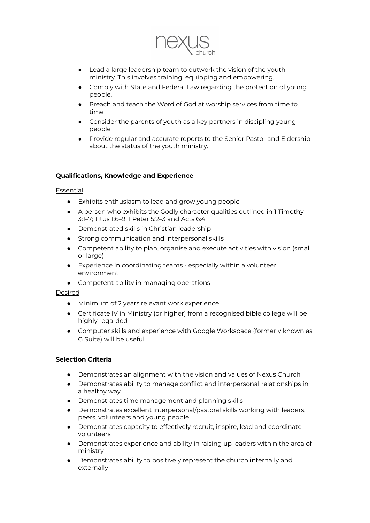

- Lead a large leadership team to outwork the vision of the youth ministry. This involves training, equipping and empowering.
- Comply with State and Federal Law regarding the protection of young people.
- Preach and teach the Word of God at worship services from time to time
- Consider the parents of youth as a key partners in discipling young people
- Provide regular and accurate reports to the Senior Pastor and Eldership about the status of the youth ministry.

### **Qualifications, Knowledge and Experience**

#### **Essential**

- Exhibits enthusiasm to lead and grow young people
- A person who exhibits the Godly character qualities outlined in 1 Timothy 3:1–7; Titus 1:6–9; 1 Peter 5:2–3 and Acts 6:4
- Demonstrated skills in Christian leadership
- Strong communication and interpersonal skills
- Competent ability to plan, organise and execute activities with vision (small or large)
- Experience in coordinating teams especially within a volunteer environment
- Competent ability in managing operations

#### Desired

- Minimum of 2 years relevant work experience
- Certificate IV in Ministry (or higher) from a recognised bible college will be highly regarded
- Computer skills and experience with Google Workspace (formerly known as G Suite) will be useful

#### **Selection Criteria**

- Demonstrates an alignment with the vision and values of Nexus Church
- Demonstrates ability to manage conflict and interpersonal relationships in a healthy way
- Demonstrates time management and planning skills
- Demonstrates excellent interpersonal/pastoral skills working with leaders, peers, volunteers and young people
- Demonstrates capacity to effectively recruit, inspire, lead and coordinate volunteers
- Demonstrates experience and ability in raising up leaders within the area of ministry
- Demonstrates ability to positively represent the church internally and externally